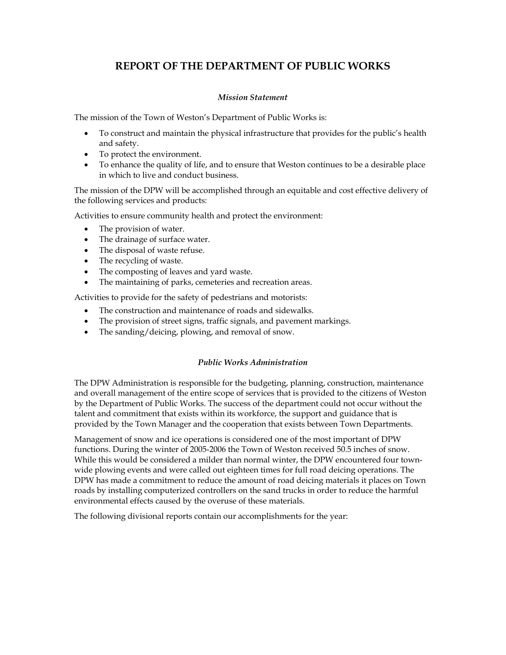# **REPORT OF THE DEPARTMENT OF PUBLIC WORKS**

# *Mission Statement*

The mission of the Town of Weston's Department of Public Works is:

- To construct and maintain the physical infrastructure that provides for the public's health and safety.
- To protect the environment.
- To enhance the quality of life, and to ensure that Weston continues to be a desirable place in which to live and conduct business.

The mission of the DPW will be accomplished through an equitable and cost effective delivery of the following services and products:

Activities to ensure community health and protect the environment:

- The provision of water.
- The drainage of surface water.
- The disposal of waste refuse.
- The recycling of waste.
- The composting of leaves and yard waste.
- The maintaining of parks, cemeteries and recreation areas.

Activities to provide for the safety of pedestrians and motorists:

- The construction and maintenance of roads and sidewalks.
- The provision of street signs, traffic signals, and pavement markings.
- The sanding/deicing, plowing, and removal of snow.

### *Public Works Administration*

The DPW Administration is responsible for the budgeting, planning, construction, maintenance and overall management of the entire scope of services that is provided to the citizens of Weston by the Department of Public Works. The success of the department could not occur without the talent and commitment that exists within its workforce, the support and guidance that is provided by the Town Manager and the cooperation that exists between Town Departments.

Management of snow and ice operations is considered one of the most important of DPW functions. During the winter of 2005-2006 the Town of Weston received 50.5 inches of snow. While this would be considered a milder than normal winter, the DPW encountered four townwide plowing events and were called out eighteen times for full road deicing operations. The DPW has made a commitment to reduce the amount of road deicing materials it places on Town roads by installing computerized controllers on the sand trucks in order to reduce the harmful environmental effects caused by the overuse of these materials.

The following divisional reports contain our accomplishments for the year: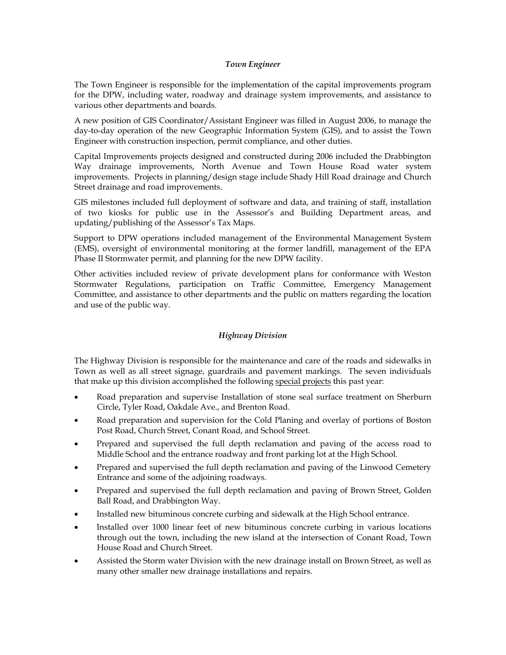## *Town Engineer*

The Town Engineer is responsible for the implementation of the capital improvements program for the DPW, including water, roadway and drainage system improvements, and assistance to various other departments and boards.

A new position of GIS Coordinator/Assistant Engineer was filled in August 2006, to manage the day-to-day operation of the new Geographic Information System (GIS), and to assist the Town Engineer with construction inspection, permit compliance, and other duties.

Capital Improvements projects designed and constructed during 2006 included the Drabbington Way drainage improvements, North Avenue and Town House Road water system improvements. Projects in planning/design stage include Shady Hill Road drainage and Church Street drainage and road improvements.

GIS milestones included full deployment of software and data, and training of staff, installation of two kiosks for public use in the Assessor's and Building Department areas, and updating/publishing of the Assessor's Tax Maps.

Support to DPW operations included management of the Environmental Management System (EMS), oversight of environmental monitoring at the former landfill, management of the EPA Phase II Stormwater permit, and planning for the new DPW facility.

Other activities included review of private development plans for conformance with Weston Stormwater Regulations, participation on Traffic Committee, Emergency Management Committee, and assistance to other departments and the public on matters regarding the location and use of the public way.

# *Highway Division*

The Highway Division is responsible for the maintenance and care of the roads and sidewalks in Town as well as all street signage, guardrails and pavement markings. The seven individuals that make up this division accomplished the following special projects this past year:

- Road preparation and supervise Installation of stone seal surface treatment on Sherburn Circle, Tyler Road, Oakdale Ave., and Brenton Road.
- Road preparation and supervision for the Cold Planing and overlay of portions of Boston Post Road, Church Street, Conant Road, and School Street.
- Prepared and supervised the full depth reclamation and paving of the access road to Middle School and the entrance roadway and front parking lot at the High School.
- Prepared and supervised the full depth reclamation and paving of the Linwood Cemetery Entrance and some of the adjoining roadways.
- Prepared and supervised the full depth reclamation and paving of Brown Street, Golden Ball Road, and Drabbington Way.
- Installed new bituminous concrete curbing and sidewalk at the High School entrance.
- Installed over 1000 linear feet of new bituminous concrete curbing in various locations through out the town, including the new island at the intersection of Conant Road, Town House Road and Church Street.
- Assisted the Storm water Division with the new drainage install on Brown Street, as well as many other smaller new drainage installations and repairs.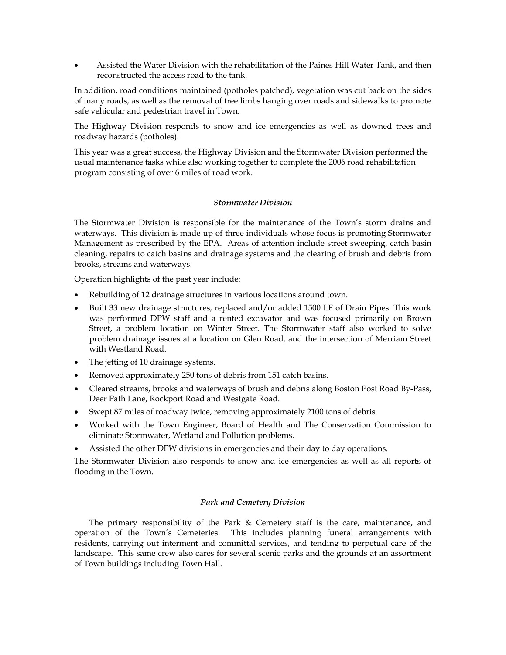• Assisted the Water Division with the rehabilitation of the Paines Hill Water Tank, and then reconstructed the access road to the tank.

In addition, road conditions maintained (potholes patched), vegetation was cut back on the sides of many roads, as well as the removal of tree limbs hanging over roads and sidewalks to promote safe vehicular and pedestrian travel in Town.

The Highway Division responds to snow and ice emergencies as well as downed trees and roadway hazards (potholes).

This year was a great success, the Highway Division and the Stormwater Division performed the usual maintenance tasks while also working together to complete the 2006 road rehabilitation program consisting of over 6 miles of road work.

### *Stormwater Division*

The Stormwater Division is responsible for the maintenance of the Town's storm drains and waterways. This division is made up of three individuals whose focus is promoting Stormwater Management as prescribed by the EPA. Areas of attention include street sweeping, catch basin cleaning, repairs to catch basins and drainage systems and the clearing of brush and debris from brooks, streams and waterways.

Operation highlights of the past year include:

- Rebuilding of 12 drainage structures in various locations around town.
- Built 33 new drainage structures, replaced and/or added 1500 LF of Drain Pipes. This work was performed DPW staff and a rented excavator and was focused primarily on Brown Street, a problem location on Winter Street. The Stormwater staff also worked to solve problem drainage issues at a location on Glen Road, and the intersection of Merriam Street with Westland Road.
- The jetting of 10 drainage systems.
- Removed approximately 250 tons of debris from 151 catch basins.
- Cleared streams, brooks and waterways of brush and debris along Boston Post Road By-Pass, Deer Path Lane, Rockport Road and Westgate Road.
- Swept 87 miles of roadway twice, removing approximately 2100 tons of debris.
- Worked with the Town Engineer, Board of Health and The Conservation Commission to eliminate Stormwater, Wetland and Pollution problems.
- Assisted the other DPW divisions in emergencies and their day to day operations.

The Stormwater Division also responds to snow and ice emergencies as well as all reports of flooding in the Town.

# *Park and Cemetery Division*

The primary responsibility of the Park & Cemetery staff is the care, maintenance, and operation of the Town's Cemeteries. This includes planning funeral arrangements with residents, carrying out interment and committal services, and tending to perpetual care of the landscape. This same crew also cares for several scenic parks and the grounds at an assortment of Town buildings including Town Hall.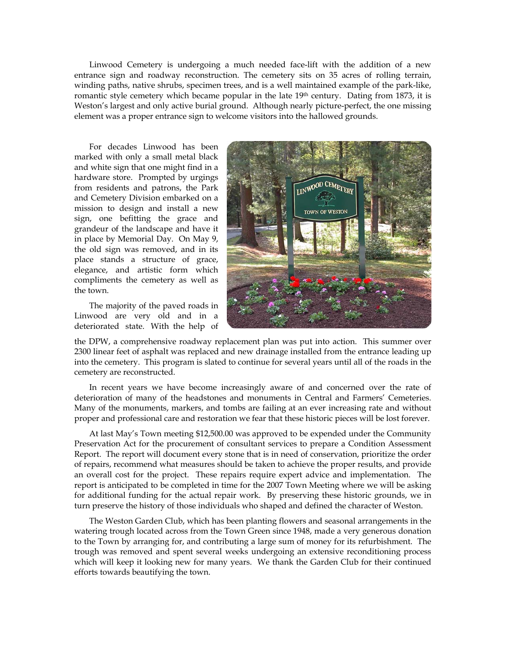Linwood Cemetery is undergoing a much needed face-lift with the addition of a new entrance sign and roadway reconstruction. The cemetery sits on 35 acres of rolling terrain, winding paths, native shrubs, specimen trees, and is a well maintained example of the park-like, romantic style cemetery which became popular in the late 19<sup>th</sup> century. Dating from 1873, it is Weston's largest and only active burial ground. Although nearly picture-perfect, the one missing element was a proper entrance sign to welcome visitors into the hallowed grounds.

For decades Linwood has been marked with only a small metal black and white sign that one might find in a hardware store. Prompted by urgings from residents and patrons, the Park and Cemetery Division embarked on a mission to design and install a new sign, one befitting the grace and grandeur of the landscape and have it in place by Memorial Day. On May 9, the old sign was removed, and in its place stands a structure of grace, elegance, and artistic form which compliments the cemetery as well as the town.

The majority of the paved roads in Linwood are very old and in a deteriorated state. With the help of



the DPW, a comprehensive roadway replacement plan was put into action. This summer over 2300 linear feet of asphalt was replaced and new drainage installed from the entrance leading up into the cemetery. This program is slated to continue for several years until all of the roads in the cemetery are reconstructed.

In recent years we have become increasingly aware of and concerned over the rate of deterioration of many of the headstones and monuments in Central and Farmers' Cemeteries. Many of the monuments, markers, and tombs are failing at an ever increasing rate and without proper and professional care and restoration we fear that these historic pieces will be lost forever.

At last May's Town meeting \$12,500.00 was approved to be expended under the Community Preservation Act for the procurement of consultant services to prepare a Condition Assessment Report. The report will document every stone that is in need of conservation, prioritize the order of repairs, recommend what measures should be taken to achieve the proper results, and provide an overall cost for the project. These repairs require expert advice and implementation. The report is anticipated to be completed in time for the 2007 Town Meeting where we will be asking for additional funding for the actual repair work. By preserving these historic grounds, we in turn preserve the history of those individuals who shaped and defined the character of Weston.

The Weston Garden Club, which has been planting flowers and seasonal arrangements in the watering trough located across from the Town Green since 1948, made a very generous donation to the Town by arranging for, and contributing a large sum of money for its refurbishment. The trough was removed and spent several weeks undergoing an extensive reconditioning process which will keep it looking new for many years. We thank the Garden Club for their continued efforts towards beautifying the town.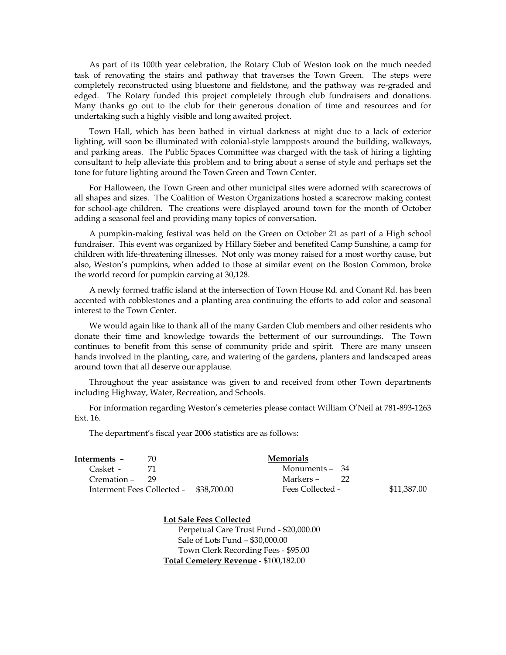As part of its 100th year celebration, the Rotary Club of Weston took on the much needed task of renovating the stairs and pathway that traverses the Town Green. The steps were completely reconstructed using bluestone and fieldstone, and the pathway was re-graded and edged. The Rotary funded this project completely through club fundraisers and donations. Many thanks go out to the club for their generous donation of time and resources and for undertaking such a highly visible and long awaited project.

Town Hall, which has been bathed in virtual darkness at night due to a lack of exterior lighting, will soon be illuminated with colonial-style lampposts around the building, walkways, and parking areas. The Public Spaces Committee was charged with the task of hiring a lighting consultant to help alleviate this problem and to bring about a sense of style and perhaps set the tone for future lighting around the Town Green and Town Center.

For Halloween, the Town Green and other municipal sites were adorned with scarecrows of all shapes and sizes. The Coalition of Weston Organizations hosted a scarecrow making contest for school-age children. The creations were displayed around town for the month of October adding a seasonal feel and providing many topics of conversation.

A pumpkin-making festival was held on the Green on October 21 as part of a High school fundraiser. This event was organized by Hillary Sieber and benefited Camp Sunshine, a camp for children with life-threatening illnesses. Not only was money raised for a most worthy cause, but also, Weston's pumpkins, when added to those at similar event on the Boston Common, broke the world record for pumpkin carving at 30,128.

A newly formed traffic island at the intersection of Town House Rd. and Conant Rd. has been accented with cobblestones and a planting area continuing the efforts to add color and seasonal interest to the Town Center.

We would again like to thank all of the many Garden Club members and other residents who donate their time and knowledge towards the betterment of our surroundings. The Town continues to benefit from this sense of community pride and spirit. There are many unseen hands involved in the planting, care, and watering of the gardens, planters and landscaped areas around town that all deserve our applause.

Throughout the year assistance was given to and received from other Town departments including Highway, Water, Recreation, and Schools.

For information regarding Weston's cemeteries please contact William O'Neil at 781-893-1263 Ext. 16.

The department's fiscal year 2006 statistics are as follows:

| Interments –                           | 70 | <b>Memorials</b> |    |             |
|----------------------------------------|----|------------------|----|-------------|
| Casket -                               |    | Monuments – 34   |    |             |
| $Cremation - 29$                       |    | Markers –        | 22 |             |
| Interment Fees Collected - \$38,700.00 |    | Fees Collected - |    | \$11,387.00 |

**Lot Sale Fees Collected** Perpetual Care Trust Fund - \$20,000.00 Sale of Lots Fund – \$30,000.00 Town Clerk Recording Fees - \$95.00 **Total Cemetery Revenue** - \$100,182.00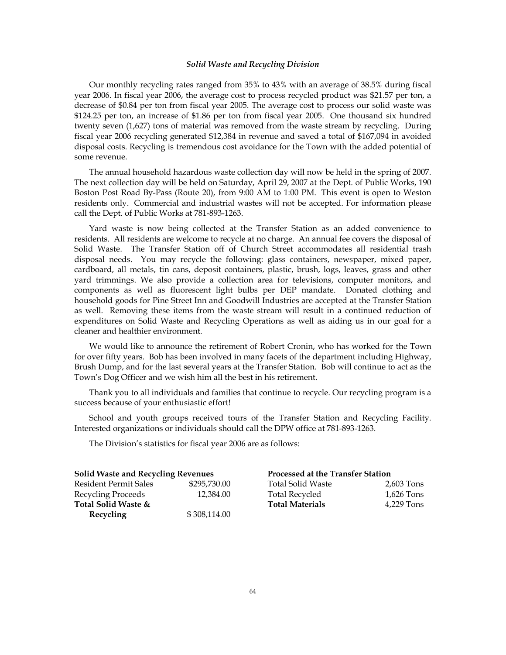#### *Solid Waste and Recycling Division*

Our monthly recycling rates ranged from 35% to 43% with an average of 38.5% during fiscal year 2006. In fiscal year 2006, the average cost to process recycled product was \$21.57 per ton, a decrease of \$0.84 per ton from fiscal year 2005. The average cost to process our solid waste was \$124.25 per ton, an increase of \$1.86 per ton from fiscal year 2005. One thousand six hundred twenty seven (1,627) tons of material was removed from the waste stream by recycling. During fiscal year 2006 recycling generated \$12,384 in revenue and saved a total of \$167,094 in avoided disposal costs. Recycling is tremendous cost avoidance for the Town with the added potential of some revenue.

The annual household hazardous waste collection day will now be held in the spring of 2007. The next collection day will be held on Saturday, April 29, 2007 at the Dept. of Public Works, 190 Boston Post Road By-Pass (Route 20), from 9:00 AM to 1:00 PM. This event is open to Weston residents only. Commercial and industrial wastes will not be accepted. For information please call the Dept. of Public Works at 781-893-1263.

Yard waste is now being collected at the Transfer Station as an added convenience to residents. All residents are welcome to recycle at no charge. An annual fee covers the disposal of Solid Waste. The Transfer Station off of Church Street accommodates all residential trash disposal needs. You may recycle the following: glass containers, newspaper, mixed paper, cardboard, all metals, tin cans, deposit containers, plastic, brush, logs, leaves, grass and other yard trimmings. We also provide a collection area for televisions, computer monitors, and components as well as fluorescent light bulbs per DEP mandate. Donated clothing and household goods for Pine Street Inn and Goodwill Industries are accepted at the Transfer Station as well. Removing these items from the waste stream will result in a continued reduction of expenditures on Solid Waste and Recycling Operations as well as aiding us in our goal for a cleaner and healthier environment.

We would like to announce the retirement of Robert Cronin, who has worked for the Town for over fifty years. Bob has been involved in many facets of the department including Highway, Brush Dump, and for the last several years at the Transfer Station. Bob will continue to act as the Town's Dog Officer and we wish him all the best in his retirement.

Thank you to all individuals and families that continue to recycle. Our recycling program is a success because of your enthusiastic effort!

School and youth groups received tours of the Transfer Station and Recycling Facility. Interested organizations or individuals should call the DPW office at 781-893-1263.

The Division's statistics for fiscal year 2006 are as follows:

| <b>Solid Waste and Recycling Revenues</b> |              | <b>Processed at the Transfer Station</b> |            |  |
|-------------------------------------------|--------------|------------------------------------------|------------|--|
| Resident Permit Sales                     | \$295,730,00 | <b>Total Solid Waste</b>                 | 2,603 Tons |  |
| Recycling Proceeds                        | 12.384.00    | <b>Total Recycled</b>                    | 1,626 Tons |  |
| Total Solid Waste &                       |              | <b>Total Materials</b>                   | 4.229 Tons |  |
| <b>Recycling</b>                          | \$308,114.00 |                                          |            |  |